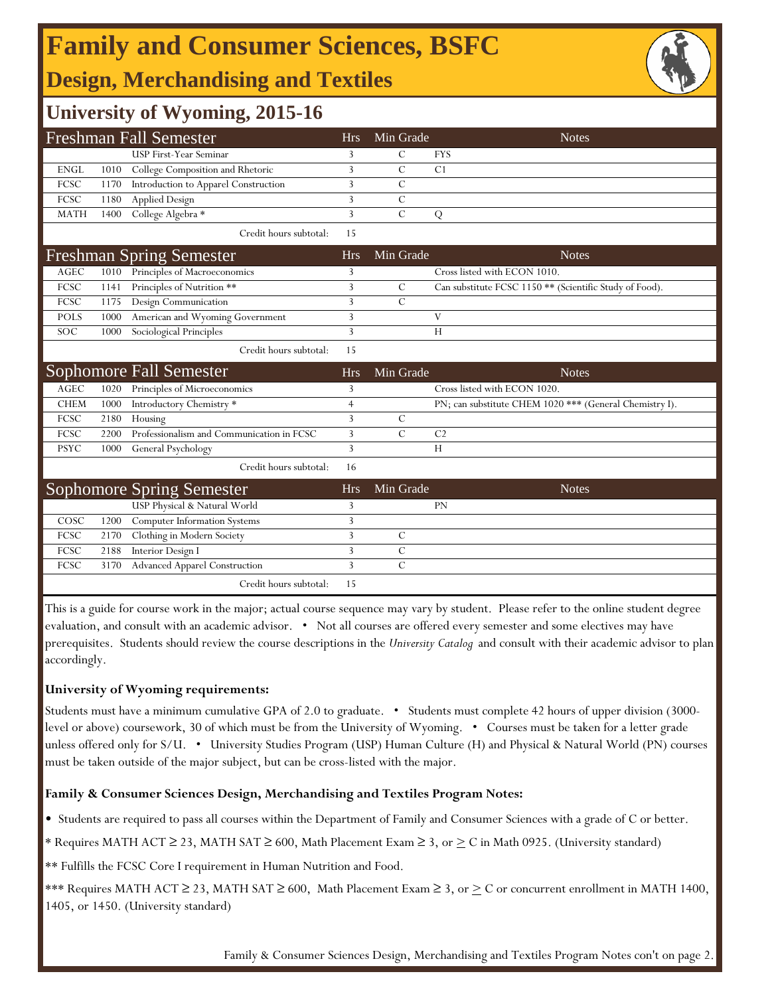## **Family and Consumer Sciences, BSFC**

## **Design, Merchandising and Textiles**

## **University of Wyoming, 2015-16**

|                       |      | <b>Freshman Fall Semester</b>             | <b>Hrs</b>     | Min Grade     | <b>Notes</b>                                            |
|-----------------------|------|-------------------------------------------|----------------|---------------|---------------------------------------------------------|
|                       |      | <b>USP First-Year Seminar</b>             | 3              | C             | <b>FYS</b>                                              |
| <b>ENGL</b>           | 1010 | College Composition and Rhetoric          | 3              | С             | C1                                                      |
| FCSC                  | 1170 | Introduction to Apparel Construction      | 3              | С             |                                                         |
| FCSC                  | 1180 | <b>Applied Design</b>                     | $\overline{3}$ | $\mathcal{C}$ |                                                         |
| <b>MATH</b>           | 1400 | College Algebra *                         | 3              | $\mathcal{C}$ | Q                                                       |
|                       |      | Credit hours subtotal:                    | 15             |               |                                                         |
|                       |      | <b>Freshman Spring Semester</b>           | <b>Hrs</b>     | Min Grade     | <b>Notes</b>                                            |
| <b>AGEC</b>           | 1010 | Principles of Macroeconomics              | 3              |               | Cross listed with ECON 1010.                            |
| <b>FCSC</b>           | 1141 | Principles of Nutrition **                | 3              | $\mathcal{C}$ | Can substitute FCSC 1150 ** (Scientific Study of Food). |
| FCSC                  | 1175 | Design Communication                      | 3              | $\mathcal{C}$ |                                                         |
| <b>POLS</b>           | 1000 | American and Wyoming Government           | 3              |               | V                                                       |
| SOC                   | 1000 | Sociological Principles                   | 3              |               | H                                                       |
|                       |      | Credit hours subtotal:                    | 15             |               |                                                         |
|                       |      |                                           |                |               |                                                         |
|                       |      | Sophomore Fall Semester                   | <b>Hrs</b>     | Min Grade     | <b>Notes</b>                                            |
| $\operatorname{AGEC}$ | 1020 | Principles of Microeconomics              | 3              |               | Cross listed with ECON 1020.                            |
| <b>CHEM</b>           | 1000 | Introductory Chemistry *                  | $\overline{4}$ |               | PN; can substitute CHEM 1020 *** (General Chemistry I). |
| FCSC                  | 2180 | Housing                                   | 3              | C             |                                                         |
| <b>FCSC</b>           | 2200 | Professionalism and Communication in FCSC | 3              | $\mathcal{C}$ | C <sub>2</sub>                                          |
| <b>PSYC</b>           | 1000 | General Psychology                        | 3              |               | H                                                       |
|                       |      | Credit hours subtotal:                    | 16             |               |                                                         |
|                       |      | <b>Sophomore Spring Semester</b>          | <b>Hrs</b>     | Min Grade     | <b>Notes</b>                                            |
|                       |      | USP Physical & Natural World              | 3              |               | <b>PN</b>                                               |
| COSC                  | 1200 | Computer Information Systems              | 3              |               |                                                         |
| FCSC                  | 2170 | Clothing in Modern Society                | 3              | C             |                                                         |
| FCSC                  | 2188 | Interior Design I                         | 3              | $\mathcal{C}$ |                                                         |
| <b>FCSC</b>           | 3170 | <b>Advanced Apparel Construction</b>      | 3              | $\mathcal{C}$ |                                                         |

This is a guide for course work in the major; actual course sequence may vary by student. Please refer to the online student degree evaluation, and consult with an academic advisor. • Not all courses are offered every semester and some electives may have prerequisites. Students should review the course descriptions in the *University Catalog* and consult with their academic advisor to plan accordingly.

### **University of Wyoming requirements:**

Students must have a minimum cumulative GPA of 2.0 to graduate. • Students must complete 42 hours of upper division (3000 level or above) coursework, 30 of which must be from the University of Wyoming. • Courses must be taken for a letter grade unless offered only for S/U. • University Studies Program (USP) Human Culture (H) and Physical & Natural World (PN) courses must be taken outside of the major subject, but can be cross-listed with the major.

### **Family & Consumer Sciences Design, Merchandising and Textiles Program Notes:**

• Students are required to pass all courses within the Department of Family and Consumer Sciences with a grade of C or better.

\* Requires MATH ACT ≥ 23, MATH SAT ≥ 600, Math Placement Exam ≥ 3, or > C in Math 0925. (University standard)

\*\* Fulfills the FCSC Core I requirement in Human Nutrition and Food.

\*\*\* Requires MATH ACT ≥ 23, MATH SAT ≥ 600, Math Placement Exam ≥ 3, or  $\geq C$  or concurrent enrollment in MATH 1400, 1405, or 1450. (University standard)

Family & Consumer Sciences Design, Merchandising and Textiles Program Notes con't on page 2.